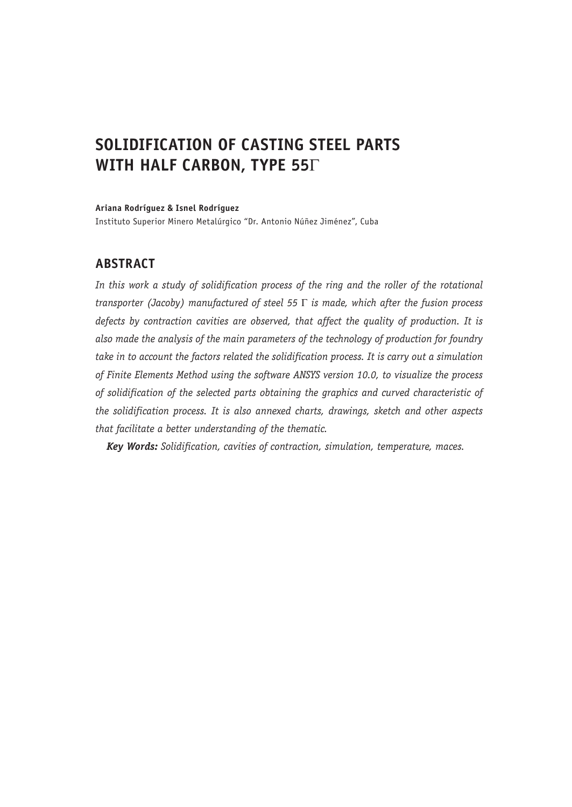# **SOLIDIFICATION OF CASTING STEEL PARTS WITH HALF CARBON, TYPE 55**Γ

**Ariana Rodríguez & Isnel Rodríguez**

Instituto Superior Minero Metalúrgico "Dr. Antonio Núñez Jiménez", Cuba

## **ABSTRACT**

*In this work a study of solidification process of the ring and the roller of the rotational transporter (Jacoby) manufactured of steel 55* Γ *is made, which after the fusion process defects by contraction cavities are observed, that affect the quality of production. It is also made the analysis of the main parameters of the technology of production for foundry take in to account the factors related the solidification process. It is carry out a simulation of Finite Elements Method using the software ANSYS version 10.0, to visualize the process of solidification of the selected parts obtaining the graphics and curved characteristic of the solidification process. It is also annexed charts, drawings, sketch and other aspects that facilitate a better understanding of the thematic.*

*Key Words: Solidification, cavities of contraction, simulation, temperature, maces.*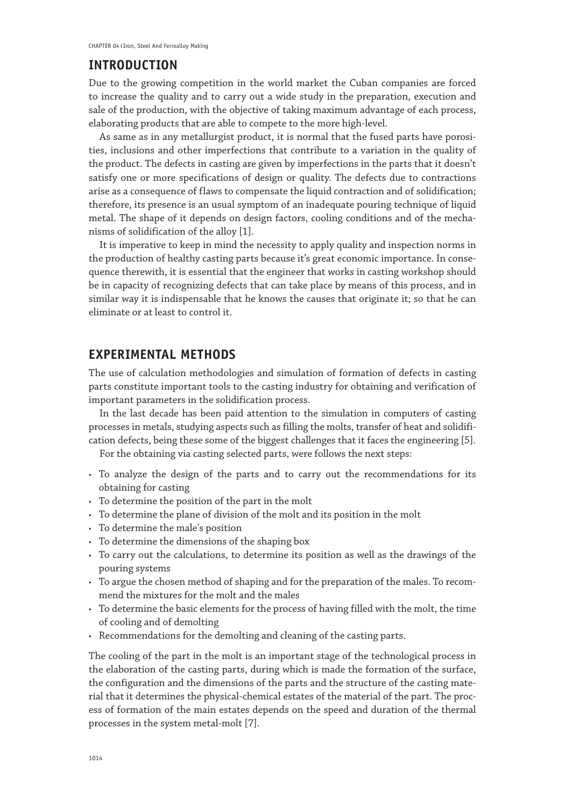### **INTRODUCTION**

Due to the growing competition in the world market the Cuban companies are forced to increase the quality and to carry out a wide study in the preparation, execution and sale of the production, with the objective of taking maximum advantage of each process, elaborating products that are able to compete to the more high-level.

As same as in any metallurgist product, it is normal that the fused parts have porosities, inclusions and other imperfections that contribute to a variation in the quality of the product. The defects in casting are given by imperfections in the parts that it doesn't satisfy one or more specifications of design or quality. The defects due to contractions arise as a consequence of flaws to compensate the liquid contraction and of solidification; therefore, its presence is an usual symptom of an inadequate pouring technique of liquid metal. The shape of it depends on design factors, cooling conditions and of the mechanisms of solidification of the alloy [1].

It is imperative to keep in mind the necessity to apply quality and inspection norms in the production of healthy casting parts because it's great economic importance. In consequence therewith, it is essential that the engineer that works in casting workshop should be in capacity of recognizing defects that can take place by means of this process, and in similar way it is indispensable that he knows the causes that originate it; so that he can eliminate or at least to control it.

## **EXPERIMENTAL METHODS**

The use of calculation methodologies and simulation of formation of defects in casting parts constitute important tools to the casting industry for obtaining and verification of important parameters in the solidification process.

In the last decade has been paid attention to the simulation in computers of casting processes in metals, studying aspects such as filling the molts, transfer of heat and solidification defects, being these some of the biggest challenges that it faces the engineering [5].

For the obtaining via casting selected parts, were follows the next steps:

- To analyze the design of the parts and to carry out the recommendations for its obtaining for casting
- • To determine the position of the part in the molt
- • To determine the plane of division of the molt and its position in the molt
- • To determine the male's position
- • To determine the dimensions of the shaping box
- • To carry out the calculations, to determine its position as well as the drawings of the pouring systems
- To argue the chosen method of shaping and for the preparation of the males. To recommend the mixtures for the molt and the males
- • To determine the basic elements for the process of having filled with the molt, the time of cooling and of demolting
- • Recommendations for the demolting and cleaning of the casting parts.

The cooling of the part in the molt is an important stage of the technological process in the elaboration of the casting parts, during which is made the formation of the surface, the configuration and the dimensions of the parts and the structure of the casting material that it determines the physical-chemical estates of the material of the part. The process of formation of the main estates depends on the speed and duration of the thermal processes in the system metal-molt [7].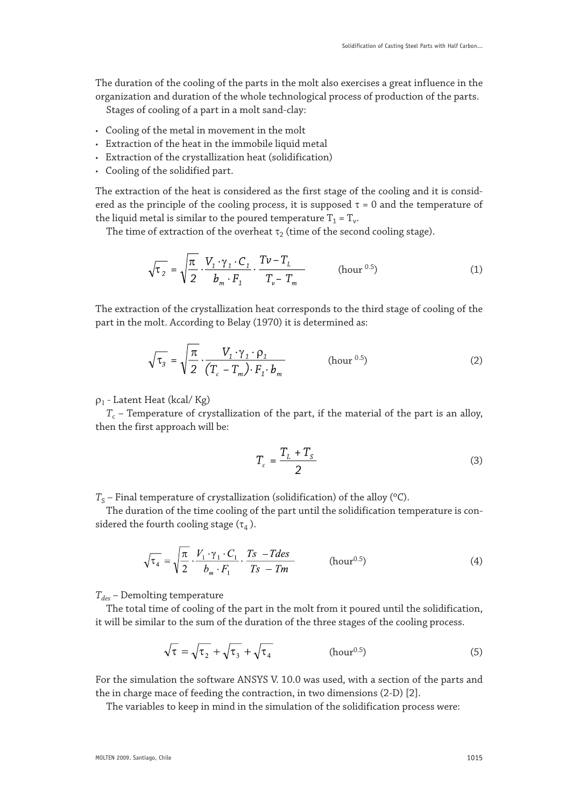The duration of the cooling of the parts in the molt also exercises a great influence in the organization and duration of the whole technological process of production of the parts.

Stages of cooling of a part in a molt sand-clay:

- • Cooling of the metal in movement in the molt
- • Extraction of the heat in the immobile liquid metal
- • Extraction of the crystallization heat (solidification)
- • Cooling of the solidified part.

The extraction of the heat is considered as the first stage of the cooling and it is considered as the principle of the cooling process, it is supposed  $\tau = 0$  and the temperature of the liquid metal is similar to the poured temperature  $T_1 = T_v$ .

The time of extraction of the overheat  $\tau_2$  (time of the second cooling stage).

$$
\sqrt{\tau_2} = \sqrt{\frac{\pi}{2}} \cdot \frac{V_1 \cdot \gamma_1 \cdot C_1}{b_m \cdot F_1} \cdot \frac{T\nu - T_L}{T_\nu - T_m}
$$
 (hour <sup>0.5</sup>) (1)

The extraction of the crystallization heat corresponds to the third stage of cooling of the part in the molt. According to Belay (1970) it is determined as:

$$
\sqrt{\tau_3} = \sqrt{\frac{\pi}{2}} \cdot \frac{V_1 \cdot \gamma_1 \cdot \rho_1}{(T_c - T_m) \cdot F_1 \cdot b_m}
$$
 (hour <sup>0.5</sup>) (2)

#### ρ1 - Latent Heat (kcal/ Kg)

 $T_c$  – Temperature of crystallization of the part, if the material of the part is an alloy, then the first approach will be:

$$
T_c = \frac{T_L + T_S}{2} \tag{3}
$$

 $T_S$  – Final temperature of crystallization (solidification) of the alloy ( $\rm{^{\circ}C}$ ).

The duration of the time cooling of the part until the solidification temperature is considered the fourth cooling stage  $(\tau_4)$ .

$$
\sqrt{\tau_4} = \sqrt{\frac{\pi}{2} \cdot \frac{V_1 \cdot \gamma_1 \cdot C_1}{b_m \cdot F_1} \cdot \frac{Ts - Tdes}{Ts - Tm}}
$$
 (hour<sup>0.5</sup>) (4)

*Tdes* – Demolting temperature

The total time of cooling of the part in the molt from it poured until the solidification, it will be similar to the sum of the duration of the three stages of the cooling process.

$$
\sqrt{\tau} = \sqrt{\tau_2} + \sqrt{\tau_3} + \sqrt{\tau_4}
$$
 (hour<sup>0.5</sup>) (5)

For the simulation the software ANSYS V. 10.0 was used, with a section of the parts and the in charge mace of feeding the contraction, in two dimensions (2-D) [2].

The variables to keep in mind in the simulation of the solidification process were: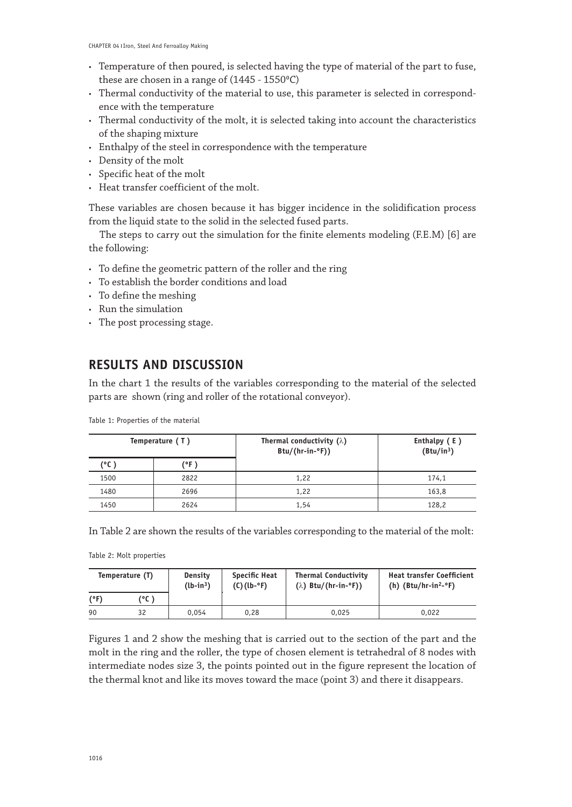- • Temperature of then poured, is selected having the type of material of the part to fuse, these are chosen in a range of  $(1445 - 1550^{\circ}C)$
- • Thermal conductivity of the material to use, this parameter is selected in correspondence with the temperature
- • Thermal conductivity of the molt, it is selected taking into account the characteristics of the shaping mixture
- • Enthalpy of the steel in correspondence with the temperature
- • Density of the molt
- • Specific heat of the molt
- • Heat transfer coefficient of the molt.

These variables are chosen because it has bigger incidence in the solidification process from the liquid state to the solid in the selected fused parts.

The steps to carry out the simulation for the finite elements modeling (F.E.M) [6] are the following:

- To define the geometric pattern of the roller and the ring
- • To establish the border conditions and load
- • To define the meshing
- • Run the simulation
- The post processing stage.

## **RESULTS AND DISCUSSION**

In the chart 1 the results of the variables corresponding to the material of the selected parts are shown (ring and roller of the rotational conveyor).

| Temperature (T) |      | Thermal conductivity $(\lambda)$<br>$Btu/(hr-in-oF))$ | Enthalpy (E)<br>(Btu/in <sup>3</sup> ) |
|-----------------|------|-------------------------------------------------------|----------------------------------------|
| (°C)            | (°F) |                                                       |                                        |
| 1500            | 2822 | 1,22                                                  | 174,1                                  |
| 1480            | 2696 | 1,22                                                  | 163,8                                  |
| 1450            | 2624 | 1,54                                                  | 128,2                                  |

Table 1: Properties of the material

In Table 2 are shown the results of the variables corresponding to the material of the molt:

Table 2: Molt properties

| Temperature (T) |      | Density<br>$(lb-in3)$ | <b>Specific Heat</b><br>$(C)(lb - P)$ | <b>Thermal Conductivity</b><br>$(\lambda)$ Btu/(hr-in- $\circ$ F)) | <b>Heat transfer Coefficient</b><br>(h) $(Btu/hr-in2-oF)$ |
|-----------------|------|-----------------------|---------------------------------------|--------------------------------------------------------------------|-----------------------------------------------------------|
| (°F)            | (°C) |                       |                                       |                                                                    |                                                           |
| 90              | 32   | 0.054                 | 0.28                                  | 0.025                                                              | 0.022                                                     |

Figures 1 and 2 show the meshing that is carried out to the section of the part and the molt in the ring and the roller, the type of chosen element is tetrahedral of 8 nodes with intermediate nodes size 3, the points pointed out in the figure represent the location of the thermal knot and like its moves toward the mace (point 3) and there it disappears.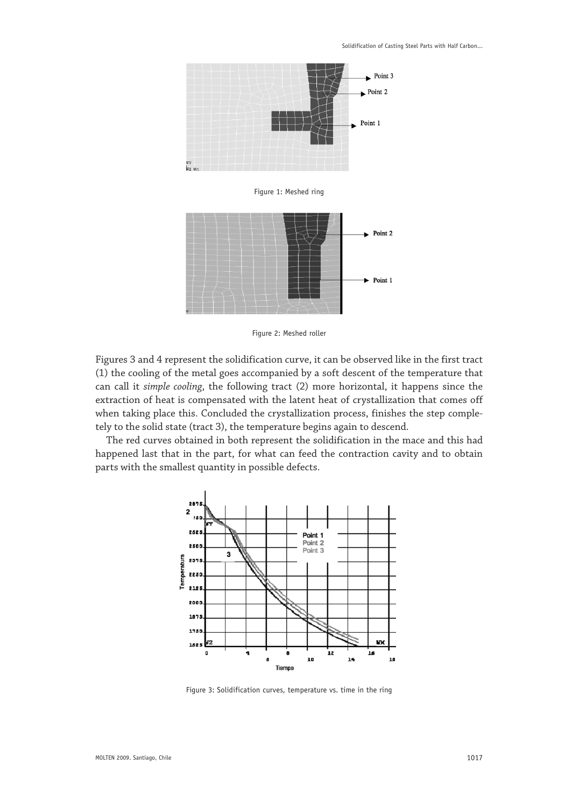

Figure 1: Meshed ring



Figure 2: Meshed roller

Figures 3 and 4 represent the solidification curve, it can be observed like in the first tract (1) the cooling of the metal goes accompanied by a soft descent of the temperature that can call it *simple cooling*, the following tract (2) more horizontal, it happens since the extraction of heat is compensated with the latent heat of crystallization that comes off when taking place this. Concluded the crystallization process, finishes the step completely to the solid state (tract 3), the temperature begins again to descend.

The red curves obtained in both represent the solidification in the mace and this had happened last that in the part, for what can feed the contraction cavity and to obtain parts with the smallest quantity in possible defects.



Figure 3: Solidification curves, temperature vs. time in the ring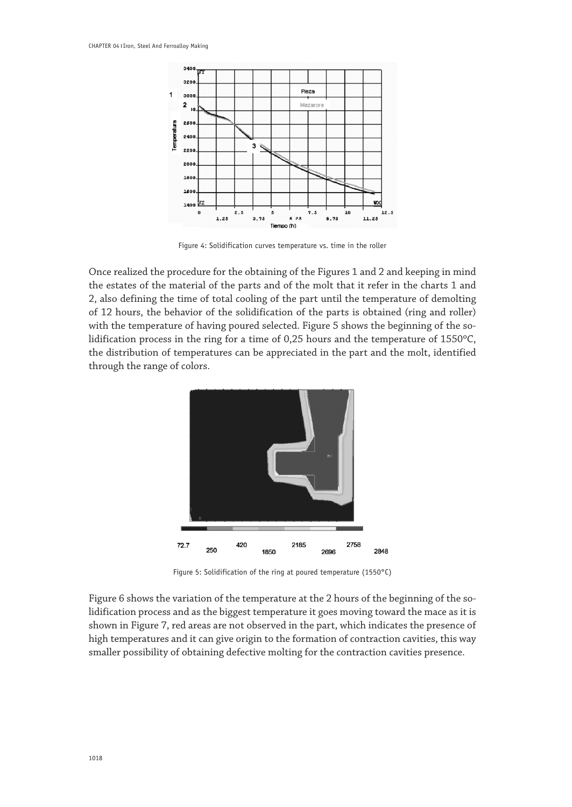

Figure 4: Solidification curves temperature vs. time in the roller

Once realized the procedure for the obtaining of the Figures 1 and 2 and keeping in mind the estates of the material of the parts and of the molt that it refer in the charts 1 and 2, also defining the time of total cooling of the part until the temperature of demolting of 12 hours, the behavior of the solidification of the parts is obtained (ring and roller) with the temperature of having poured selected. Figure 5 shows the beginning of the solidification process in the ring for a time of 0,25 hours and the temperature of 1550ºC, the distribution of temperatures can be appreciated in the part and the molt, identified through the range of colors.



Figure 5: Solidification of the ring at poured temperature (1550°C)

Figure 6 shows the variation of the temperature at the 2 hours of the beginning of the solidification process and as the biggest temperature it goes moving toward the mace as it is shown in Figure 7, red areas are not observed in the part, which indicates the presence of high temperatures and it can give origin to the formation of contraction cavities, this way smaller possibility of obtaining defective molting for the contraction cavities presence.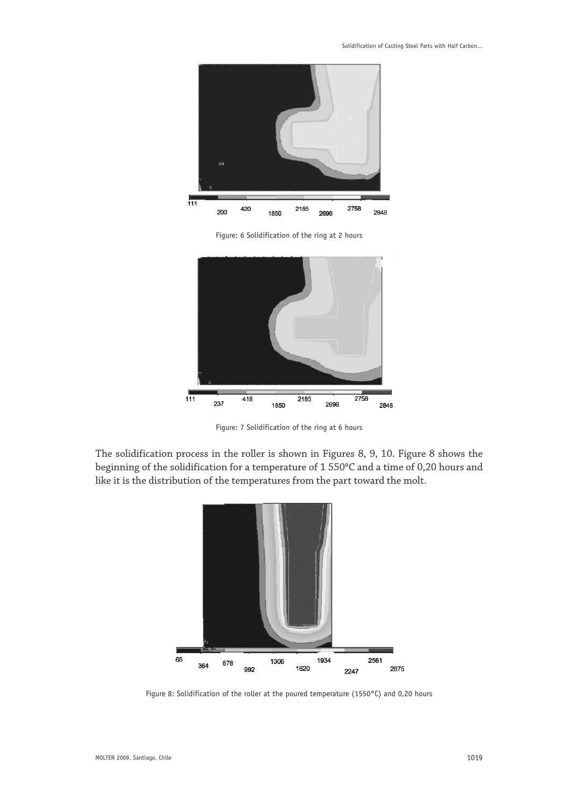

Figure: 6 Solidification of the ring at 2 hours



Figure: 7 Solidification of the ring at 6 hours

The solidification process in the roller is shown in Figures 8, 9, 10. Figure 8 shows the beginning of the solidification for a temperature of 1 550°C and a time of 0,20 hours and like it is the distribution of the temperatures from the part toward the molt.



Figure 8: Solidification of the roller at the poured temperature (1550°C) and 0,20 hours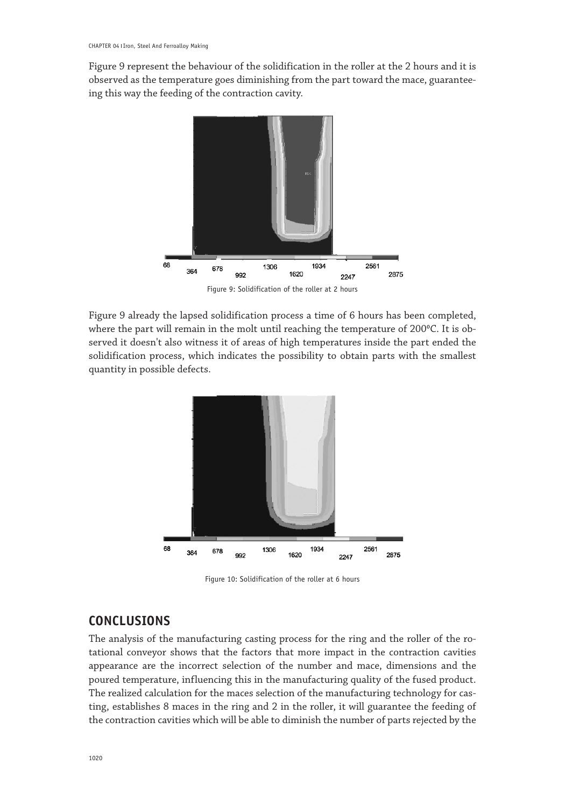Figure 9 represent the behaviour of the solidification in the roller at the 2 hours and it is observed as the temperature goes diminishing from the part toward the mace, guaranteeing this way the feeding of the contraction cavity.



Figure 9: Solidification of the roller at 2 hours

Figure 9 already the lapsed solidification process a time of 6 hours has been completed, where the part will remain in the molt until reaching the temperature of 200°C. It is observed it doesn't also witness it of areas of high temperatures inside the part ended the solidification process, which indicates the possibility to obtain parts with the smallest quantity in possible defects.

![](_page_7_Figure_5.jpeg)

Figure 10: Solidification of the roller at 6 hours

## **CONCLUSIONS**

The analysis of the manufacturing casting process for the ring and the roller of the rotational conveyor shows that the factors that more impact in the contraction cavities appearance are the incorrect selection of the number and mace, dimensions and the poured temperature, influencing this in the manufacturing quality of the fused product. The realized calculation for the maces selection of the manufacturing technology for casting, establishes 8 maces in the ring and 2 in the roller, it will guarantee the feeding of the contraction cavities which will be able to diminish the number of parts rejected by the